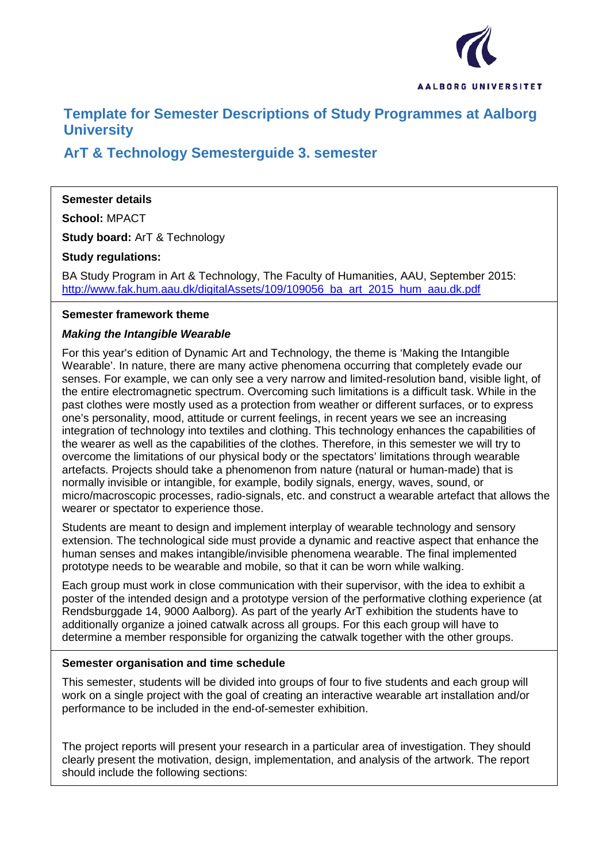

# **Template for Semester Descriptions of Study Programmes at Aalborg University**

# **ArT & Technology Semesterguide 3. semester**

## **Semester details**

**School:** MPACT

**Study board:** ArT & Technology

**Study regulations:**

BA Study Program in Art & Technology, The Faculty of Humanities, AAU, September 2015: [http://www.fak.hum.aau.dk/digitalAssets/109/109056\\_ba\\_art\\_2015\\_hum\\_aau.dk.pdf](http://www.fak.hum.aau.dk/digitalAssets/109/109056_ba_art_2015_hum_aau.dk.pdf)

## **Semester framework theme**

## *Making the Intangible Wearable*

For this year's edition of Dynamic Art and Technology, the theme is 'Making the Intangible Wearable'. In nature, there are many active phenomena occurring that completely evade our senses. For example, we can only see a very narrow and limited-resolution band, visible light, of the entire electromagnetic spectrum. Overcoming such limitations is a difficult task. While in the past clothes were mostly used as a protection from weather or different surfaces, or to express one's personality, mood, attitude or current feelings, in recent years we see an increasing integration of technology into textiles and clothing. This technology enhances the capabilities of the wearer as well as the capabilities of the clothes. Therefore, in this semester we will try to overcome the limitations of our physical body or the spectators' limitations through wearable artefacts. Projects should take a phenomenon from nature (natural or human-made) that is normally invisible or intangible, for example, bodily signals, energy, waves, sound, or micro/macroscopic processes, radio-signals, etc. and construct a wearable artefact that allows the wearer or spectator to experience those.

Students are meant to design and implement interplay of wearable technology and sensory extension. The technological side must provide a dynamic and reactive aspect that enhance the human senses and makes intangible/invisible phenomena wearable. The final implemented prototype needs to be wearable and mobile, so that it can be worn while walking.

Each group must work in close communication with their supervisor, with the idea to exhibit a poster of the intended design and a prototype version of the performative clothing experience (at Rendsburggade 14, 9000 Aalborg). As part of the yearly ArT exhibition the students have to additionally organize a joined catwalk across all groups. For this each group will have to determine a member responsible for organizing the catwalk together with the other groups.

## **Semester organisation and time schedule**

This semester, students will be divided into groups of four to five students and each group will work on a single project with the goal of creating an interactive wearable art installation and/or performance to be included in the end-of-semester exhibition.

The project reports will present your research in a particular area of investigation. They should clearly present the motivation, design, implementation, and analysis of the artwork. The report should include the following sections: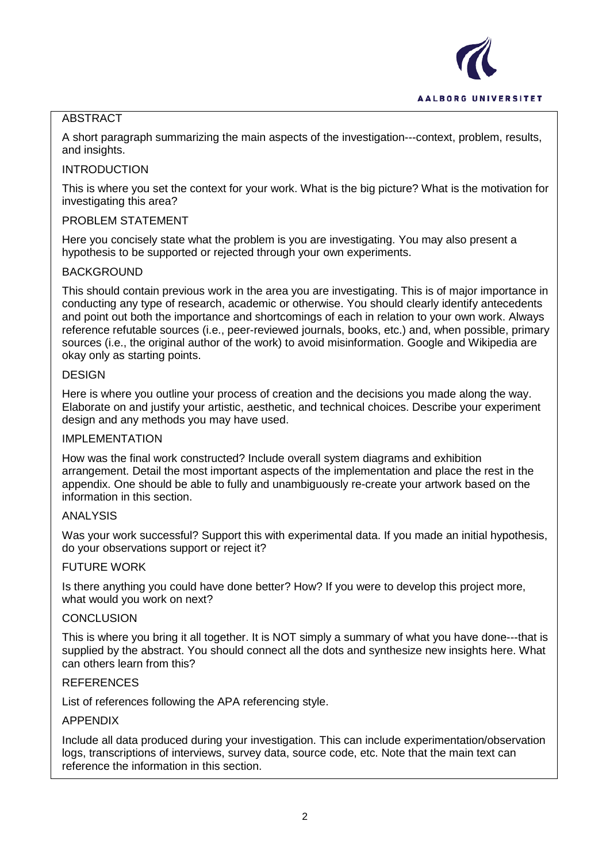

## **ABSTRACT**

A short paragraph summarizing the main aspects of the investigation---context, problem, results, and insights.

## INTRODUCTION

This is where you set the context for your work. What is the big picture? What is the motivation for investigating this area?

## PROBLEM STATEMENT

Here you concisely state what the problem is you are investigating. You may also present a hypothesis to be supported or rejected through your own experiments.

## BACKGROUND

This should contain previous work in the area you are investigating. This is of major importance in conducting any type of research, academic or otherwise. You should clearly identify antecedents and point out both the importance and shortcomings of each in relation to your own work. Always reference refutable sources (i.e., peer-reviewed journals, books, etc.) and, when possible, primary sources (i.e., the original author of the work) to avoid misinformation. Google and Wikipedia are okay only as starting points.

## **DESIGN**

Here is where you outline your process of creation and the decisions you made along the way. Elaborate on and justify your artistic, aesthetic, and technical choices. Describe your experiment design and any methods you may have used.

## IMPI FMFNTATION

How was the final work constructed? Include overall system diagrams and exhibition arrangement. Detail the most important aspects of the implementation and place the rest in the appendix. One should be able to fully and unambiguously re-create your artwork based on the information in this section.

## ANALYSIS

Was your work successful? Support this with experimental data. If you made an initial hypothesis, do your observations support or reject it?

## FUTURE WORK

Is there anything you could have done better? How? If you were to develop this project more, what would you work on next?

## **CONCLUSION**

This is where you bring it all together. It is NOT simply a summary of what you have done---that is supplied by the abstract. You should connect all the dots and synthesize new insights here. What can others learn from this?

#### **REFERENCES**

List of references following the APA referencing style.

## APPENDIX

Include all data produced during your investigation. This can include experimentation/observation logs, transcriptions of interviews, survey data, source code, etc. Note that the main text can reference the information in this section.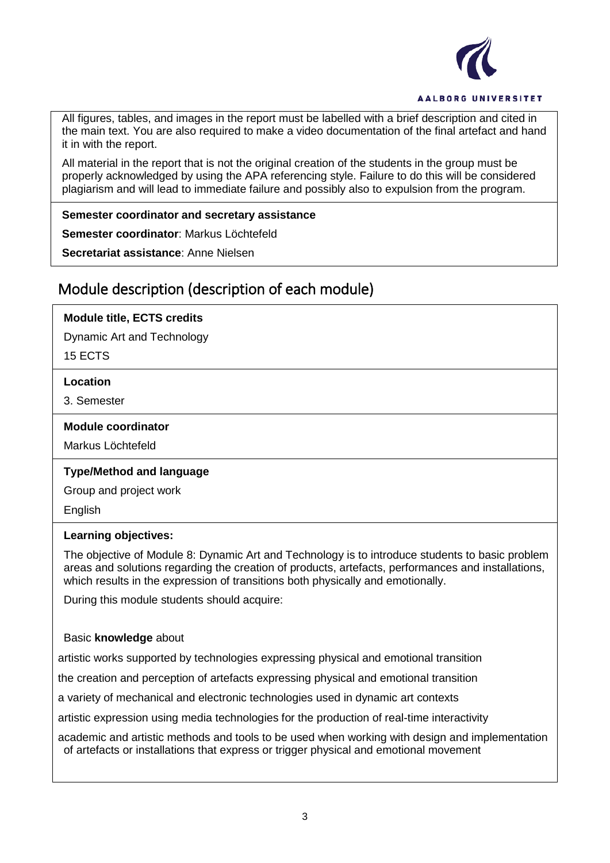

All figures, tables, and images in the report must be labelled with a brief description and cited in the main text. You are also required to make a video documentation of the final artefact and hand it in with the report.

All material in the report that is not the original creation of the students in the group must be properly acknowledged by using the APA referencing style. Failure to do this will be considered plagiarism and will lead to immediate failure and possibly also to expulsion from the program.

#### **Semester coordinator and secretary assistance**

**Semester coordinator**: Markus Löchtefeld

**Secretariat assistance**: Anne Nielsen

## Module description (description of each module)

## **Module title, ECTS credits**

Dynamic Art and Technology

15 ECTS

#### **Location**

3. Semester

#### **Module coordinator**

Markus Löchtefeld

## **Type/Method and language**

Group and project work

English

## **Learning objectives:**

The objective of Module 8: Dynamic Art and Technology is to introduce students to basic problem areas and solutions regarding the creation of products, artefacts, performances and installations, which results in the expression of transitions both physically and emotionally.

During this module students should acquire:

## Basic **knowledge** about

artistic works supported by technologies expressing physical and emotional transition

the creation and perception of artefacts expressing physical and emotional transition

a variety of mechanical and electronic technologies used in dynamic art contexts

artistic expression using media technologies for the production of real-time interactivity

academic and artistic methods and tools to be used when working with design and implementation of artefacts or installations that express or trigger physical and emotional movement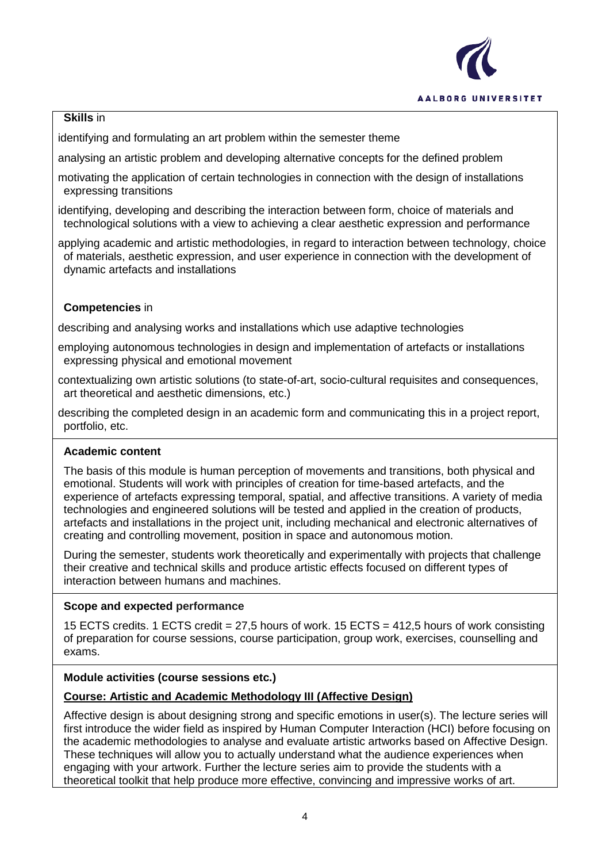

## **Skills** in

identifying and formulating an art problem within the semester theme

analysing an artistic problem and developing alternative concepts for the defined problem

motivating the application of certain technologies in connection with the design of installations expressing transitions

identifying, developing and describing the interaction between form, choice of materials and technological solutions with a view to achieving a clear aesthetic expression and performance

applying academic and artistic methodologies, in regard to interaction between technology, choice of materials, aesthetic expression, and user experience in connection with the development of dynamic artefacts and installations

## **Competencies** in

describing and analysing works and installations which use adaptive technologies

employing autonomous technologies in design and implementation of artefacts or installations expressing physical and emotional movement

contextualizing own artistic solutions (to state-of-art, socio-cultural requisites and consequences, art theoretical and aesthetic dimensions, etc.)

describing the completed design in an academic form and communicating this in a project report, portfolio, etc.

## **Academic content**

The basis of this module is human perception of movements and transitions, both physical and emotional. Students will work with principles of creation for time-based artefacts, and the experience of artefacts expressing temporal, spatial, and affective transitions. A variety of media technologies and engineered solutions will be tested and applied in the creation of products, artefacts and installations in the project unit, including mechanical and electronic alternatives of creating and controlling movement, position in space and autonomous motion.

During the semester, students work theoretically and experimentally with projects that challenge their creative and technical skills and produce artistic effects focused on different types of interaction between humans and machines.

## **Scope and expected performance**

15 ECTS credits. 1 ECTS credit = 27,5 hours of work. 15 ECTS = 412,5 hours of work consisting of preparation for course sessions, course participation, group work, exercises, counselling and exams.

## **Module activities (course sessions etc.)**

## **Course: Artistic and Academic Methodology III (Affective Design)**

Affective design is about designing strong and specific emotions in user(s). The lecture series will first introduce the wider field as inspired by Human Computer Interaction (HCI) before focusing on the academic methodologies to analyse and evaluate artistic artworks based on Affective Design. These techniques will allow you to actually understand what the audience experiences when engaging with your artwork. Further the lecture series aim to provide the students with a theoretical toolkit that help produce more effective, convincing and impressive works of art.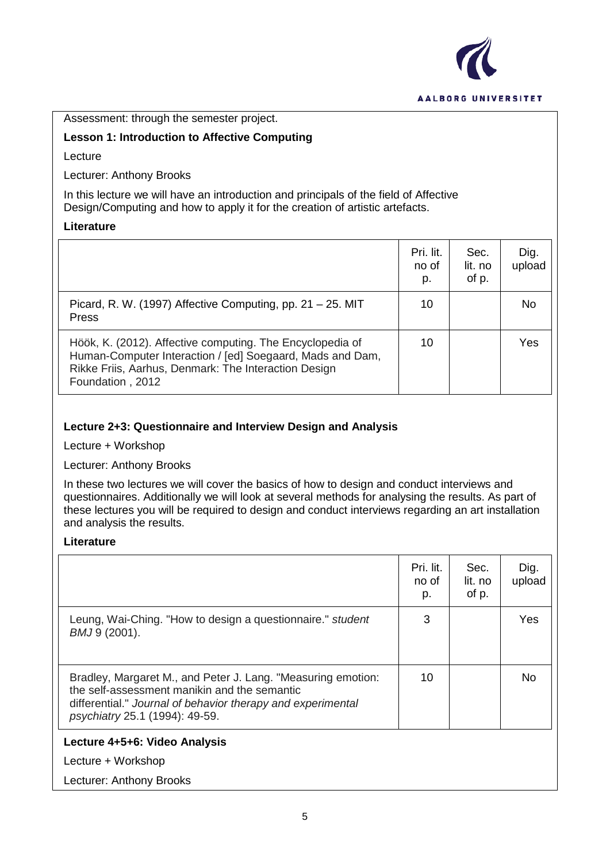

#### Assessment: through the semester project.

## **Lesson 1: Introduction to Affective Computing**

Lecture

Lecturer: Anthony Brooks

In this lecture we will have an introduction and principals of the field of Affective Design/Computing and how to apply it for the creation of artistic artefacts.

## **Literature**

|                                                                                                                                                                                                    | Pri. lit.<br>no of<br>p. | Sec.<br>lit. no<br>of p. | Dig.<br>upload |
|----------------------------------------------------------------------------------------------------------------------------------------------------------------------------------------------------|--------------------------|--------------------------|----------------|
| Picard, R. W. (1997) Affective Computing, pp. $21 - 25$ . MIT<br><b>Press</b>                                                                                                                      | 10                       |                          | No             |
| Höök, K. (2012). Affective computing. The Encyclopedia of<br>Human-Computer Interaction / [ed] Soegaard, Mads and Dam,<br>Rikke Friis, Aarhus, Denmark: The Interaction Design<br>Foundation, 2012 | 10                       |                          | Yes            |

## **Lecture 2+3: Questionnaire and Interview Design and Analysis**

Lecture + Workshop

Lecturer: Anthony Brooks

In these two lectures we will cover the basics of how to design and conduct interviews and questionnaires. Additionally we will look at several methods for analysing the results. As part of these lectures you will be required to design and conduct interviews regarding an art installation and analysis the results.

#### **Literature**

|                                                                                                                                                                                                               | Pri. lit.<br>no of<br>p. | Sec.<br>lit. no<br>of p. | Dig.<br>upload |
|---------------------------------------------------------------------------------------------------------------------------------------------------------------------------------------------------------------|--------------------------|--------------------------|----------------|
| Leung, Wai-Ching. "How to design a questionnaire." student<br>BMJ 9 (2001).                                                                                                                                   | 3                        |                          | Yes            |
| Bradley, Margaret M., and Peter J. Lang. "Measuring emotion:<br>the self-assessment manikin and the semantic<br>differential." Journal of behavior therapy and experimental<br>psychiatry 25.1 (1994): 49-59. | 10                       |                          | No.            |
| Lecture 4+5+6: Video Analysis                                                                                                                                                                                 |                          |                          |                |
| Lecture + Workshop                                                                                                                                                                                            |                          |                          |                |

Lecturer: Anthony Brooks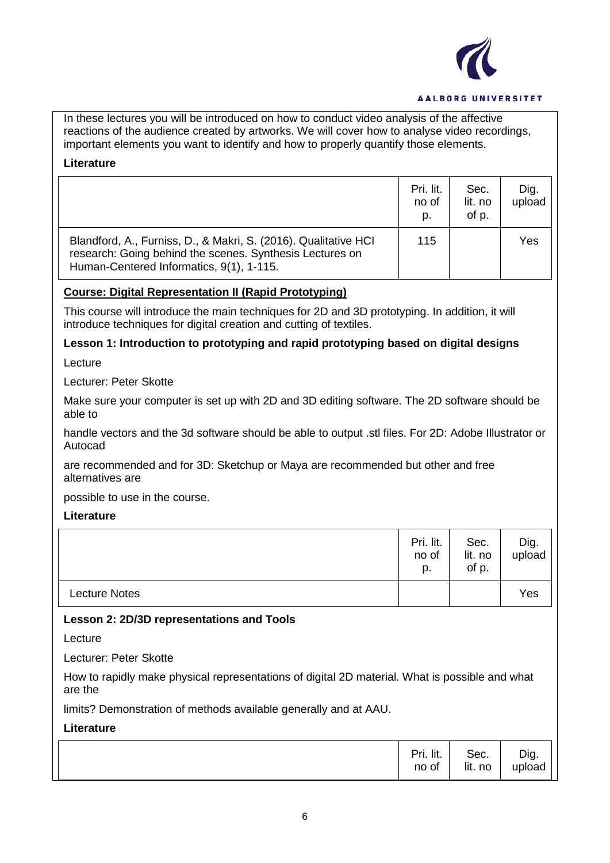

In these lectures you will be introduced on how to conduct video analysis of the affective reactions of the audience created by artworks. We will cover how to analyse video recordings, important elements you want to identify and how to properly quantify those elements.

## **Literature**

|                                                                                                                                                                         | Pri. lit.<br>no of<br>p. | Sec.<br>lit. no<br>of p. | Dig.<br>upload |
|-------------------------------------------------------------------------------------------------------------------------------------------------------------------------|--------------------------|--------------------------|----------------|
| Blandford, A., Furniss, D., & Makri, S. (2016). Qualitative HCI<br>research: Going behind the scenes. Synthesis Lectures on<br>Human-Centered Informatics, 9(1), 1-115. | 115                      |                          | Yes            |

## **Course: Digital Representation II (Rapid Prototyping)**

This course will introduce the main techniques for 2D and 3D prototyping. In addition, it will introduce techniques for digital creation and cutting of textiles.

## **Lesson 1: Introduction to prototyping and rapid prototyping based on digital designs**

Lecture

Lecturer: Peter Skotte

Make sure your computer is set up with 2D and 3D editing software. The 2D software should be able to

handle vectors and the 3d software should be able to output .stl files. For 2D: Adobe Illustrator or Autocad

are recommended and for 3D: Sketchup or Maya are recommended but other and free alternatives are

possible to use in the course.

## **Literature**

|                      | Pri. lit.<br>no of<br>p. | Sec.<br>lit. no<br>of p. | Dig.<br>upload |
|----------------------|--------------------------|--------------------------|----------------|
| <b>Lecture Notes</b> |                          |                          | Yes            |

## **Lesson 2: 2D/3D representations and Tools**

Lecture

Lecturer: Peter Skotte

How to rapidly make physical representations of digital 2D material. What is possible and what are the

limits? Demonstration of methods available generally and at AAU.

**Literature**

| Pri. lit. | Sec.    | Dig.   |
|-----------|---------|--------|
| no of     | lit. no | upload |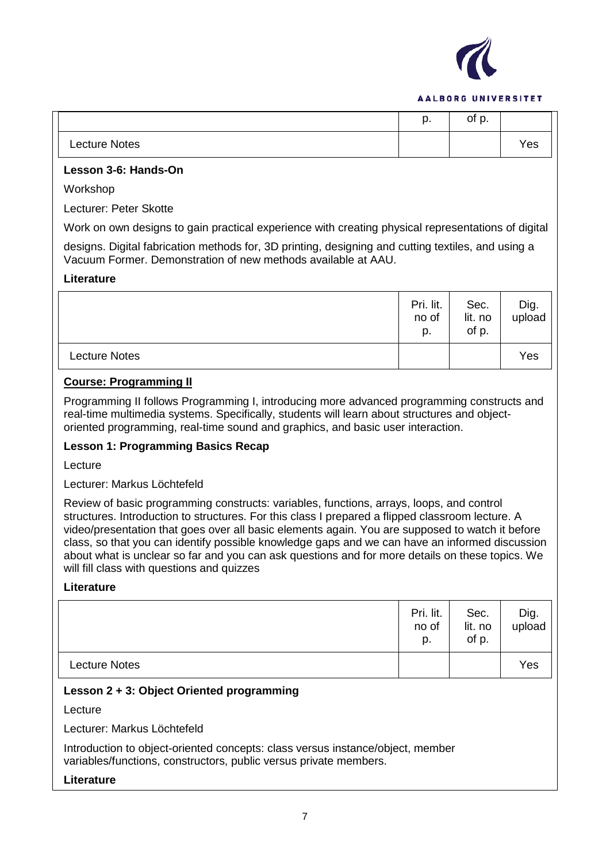

|               | n<br>μ. | of p. |     |
|---------------|---------|-------|-----|
| Lecture Notes |         |       | Yes |

## **Lesson 3-6: Hands-On**

Workshop

Lecturer: Peter Skotte

Work on own designs to gain practical experience with creating physical representations of digital

designs. Digital fabrication methods for, 3D printing, designing and cutting textiles, and using a Vacuum Former. Demonstration of new methods available at AAU.

## **Literature**

|                      | Pri. lit.<br>no of<br>p. | Sec.<br>lit. no<br>of p. | Dig.<br>upload |
|----------------------|--------------------------|--------------------------|----------------|
| <b>Lecture Notes</b> |                          |                          | Yes            |

## **Course: Programming II**

Programming II follows Programming I, introducing more advanced programming constructs and real-time multimedia systems. Specifically, students will learn about structures and objectoriented programming, real-time sound and graphics, and basic user interaction.

## **Lesson 1: Programming Basics Recap**

Lecture

Lecturer: Markus Löchtefeld

Review of basic programming constructs: variables, functions, arrays, loops, and control structures. Introduction to structures. For this class I prepared a flipped classroom lecture. A video/presentation that goes over all basic elements again. You are supposed to watch it before class, so that you can identify possible knowledge gaps and we can have an informed discussion about what is unclear so far and you can ask questions and for more details on these topics. We will fill class with questions and quizzes

## **Literature**

|                      | Pri. lit.<br>no of<br>p. | Sec.<br>lit. no<br>of p. | Dig.<br>upload |
|----------------------|--------------------------|--------------------------|----------------|
| <b>Lecture Notes</b> |                          |                          | Yes            |

## **Lesson 2 + 3: Object Oriented programming**

Lecture

Lecturer: Markus Löchtefeld

Introduction to object-oriented concepts: class versus instance/object, member variables/functions, constructors, public versus private members.

#### **Literature**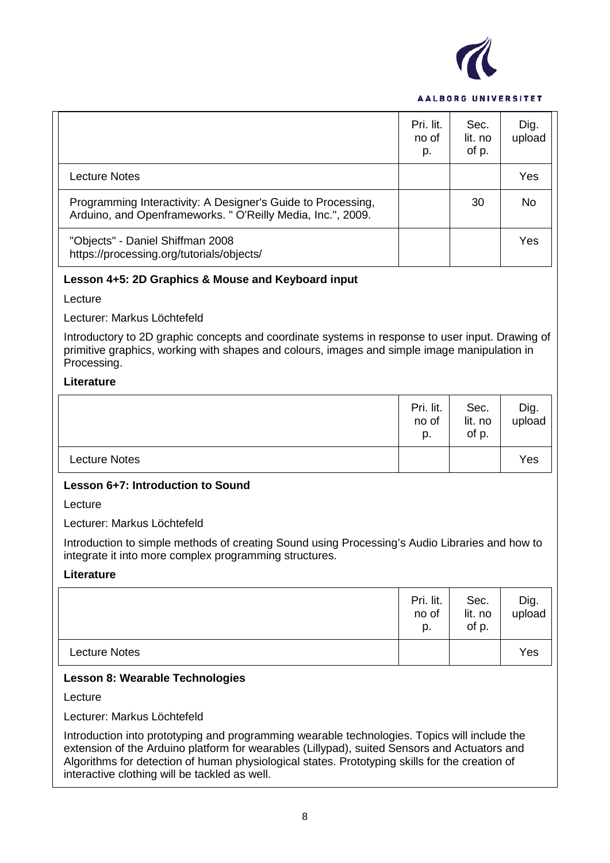

|                                                                                                                             | Pri. lit.<br>no of<br>p. | Sec.<br>lit. no<br>of p. | Dig.<br>upload |
|-----------------------------------------------------------------------------------------------------------------------------|--------------------------|--------------------------|----------------|
| <b>Lecture Notes</b>                                                                                                        |                          |                          | Yes            |
| Programming Interactivity: A Designer's Guide to Processing,<br>Arduino, and Openframeworks. " O'Reilly Media, Inc.", 2009. |                          | 30                       | No.            |
| "Objects" - Daniel Shiffman 2008<br>https://processing.org/tutorials/objects/                                               |                          |                          | Yes            |

#### **Lesson 4+5: 2D Graphics & Mouse and Keyboard input**

Lecture

Lecturer: Markus Löchtefeld

Introductory to 2D graphic concepts and coordinate systems in response to user input. Drawing of primitive graphics, working with shapes and colours, images and simple image manipulation in Processing.

#### **Literature**

|                      | Pri. lit.<br>no of<br>p. | Sec.<br>lit. no<br>of p. | Dig.<br>upload |
|----------------------|--------------------------|--------------------------|----------------|
| <b>Lecture Notes</b> |                          |                          | Yes            |

## **Lesson 6+7: Introduction to Sound**

Lecture

Lecturer: Markus Löchtefeld

Introduction to simple methods of creating Sound using Processing's Audio Libraries and how to integrate it into more complex programming structures.

#### **Literature**

|                      | Pri. lit.<br>no of<br>p. | Sec.<br>lit. no<br>of p. | Dig.<br>upload |
|----------------------|--------------------------|--------------------------|----------------|
| <b>Lecture Notes</b> |                          |                          | Yes            |

#### **Lesson 8: Wearable Technologies**

Lecture

Lecturer: Markus Löchtefeld

Introduction into prototyping and programming wearable technologies. Topics will include the extension of the Arduino platform for wearables (Lillypad), suited Sensors and Actuators and Algorithms for detection of human physiological states. Prototyping skills for the creation of interactive clothing will be tackled as well.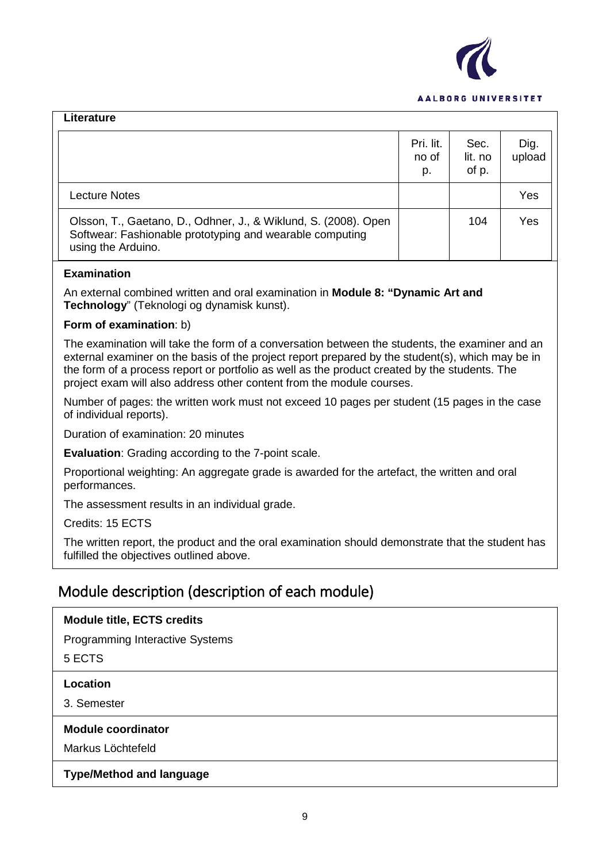

| Lit <del>c</del> i αιμι σ                                                                                                                         |                          |                          |                |
|---------------------------------------------------------------------------------------------------------------------------------------------------|--------------------------|--------------------------|----------------|
|                                                                                                                                                   | Pri. lit.<br>no of<br>p. | Sec.<br>lit. no<br>of p. | Dig.<br>upload |
| Lecture Notes                                                                                                                                     |                          |                          | Yes            |
| Olsson, T., Gaetano, D., Odhner, J., & Wiklund, S. (2008). Open<br>Softwear: Fashionable prototyping and wearable computing<br>using the Arduino. |                          | 104                      | Yes            |

## **Examination**

**Literature**

An external combined written and oral examination in **Module 8: "Dynamic Art and Technology**" (Teknologi og dynamisk kunst).

## **Form of examination**: b)

The examination will take the form of a conversation between the students, the examiner and an external examiner on the basis of the project report prepared by the student(s), which may be in the form of a process report or portfolio as well as the product created by the students. The project exam will also address other content from the module courses.

Number of pages: the written work must not exceed 10 pages per student (15 pages in the case of individual reports).

Duration of examination: 20 minutes

**Evaluation**: Grading according to the 7-point scale.

Proportional weighting: An aggregate grade is awarded for the artefact, the written and oral performances.

The assessment results in an individual grade.

Credits: 15 ECTS

The written report, the product and the oral examination should demonstrate that the student has fulfilled the objectives outlined above.

## Module description (description of each module)

## **Module title, ECTS credits**

Programming Interactive Systems

5 ECTS

#### **Location**

3. Semester

#### **Module coordinator**

Markus Löchtefeld

## **Type/Method and language**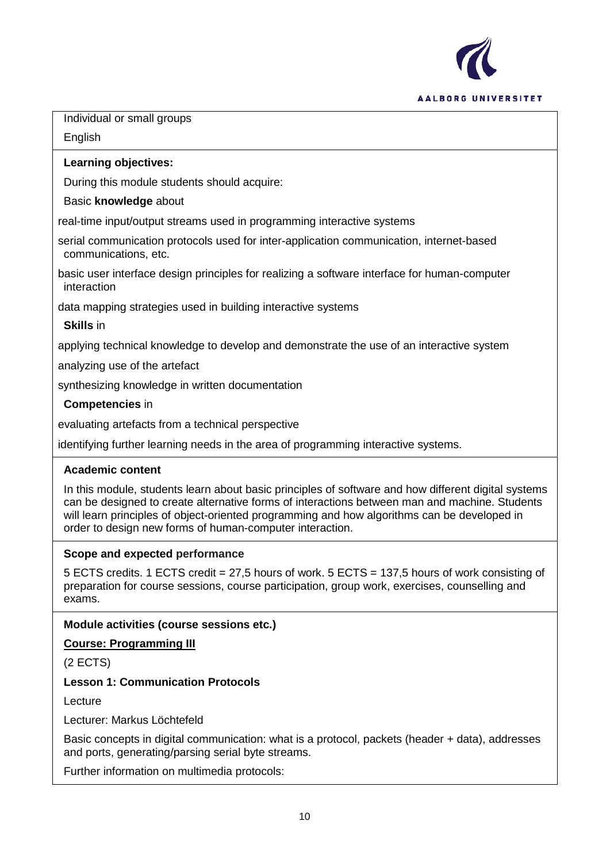

Individual or small groups

English

## **Learning objectives:**

During this module students should acquire:

## Basic **knowledge** about

real-time input/output streams used in programming interactive systems

serial communication protocols used for inter-application communication, internet-based communications, etc.

basic user interface design principles for realizing a software interface for human-computer interaction

data mapping strategies used in building interactive systems

## **Skills** in

applying technical knowledge to develop and demonstrate the use of an interactive system

analyzing use of the artefact

synthesizing knowledge in written documentation

## **Competencies** in

evaluating artefacts from a technical perspective

identifying further learning needs in the area of programming interactive systems.

## **Academic content**

In this module, students learn about basic principles of software and how different digital systems can be designed to create alternative forms of interactions between man and machine. Students will learn principles of object-oriented programming and how algorithms can be developed in order to design new forms of human-computer interaction.

## **Scope and expected performance**

5 ECTS credits. 1 ECTS credit = 27,5 hours of work. 5 ECTS = 137,5 hours of work consisting of preparation for course sessions, course participation, group work, exercises, counselling and exams.

## **Module activities (course sessions etc.)**

**Course: Programming III** 

(2 ECTS)

## **Lesson 1: Communication Protocols**

Lecture

Lecturer: Markus Löchtefeld

Basic concepts in digital communication: what is a protocol, packets (header + data), addresses and ports, generating/parsing serial byte streams.

Further information on multimedia protocols: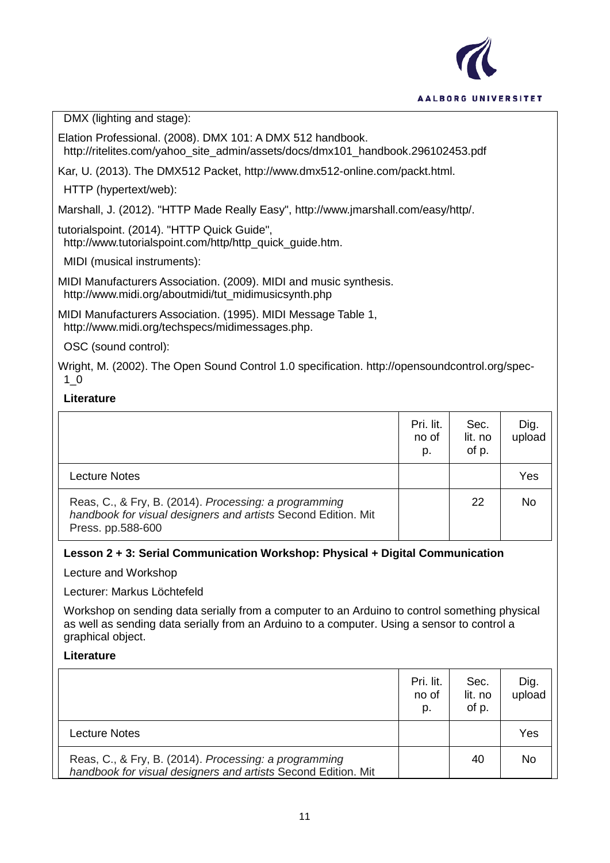

DMX (lighting and stage):

Elation Professional. (2008). DMX 101: A DMX 512 handbook. http://ritelites.com/yahoo\_site\_admin/assets/docs/dmx101\_handbook.296102453.pdf

Kar, U. (2013). The DMX512 Packet, http://www.dmx512-online.com/packt.html.

HTTP (hypertext/web):

Marshall, J. (2012). "HTTP Made Really Easy", http://www.jmarshall.com/easy/http/.

tutorialspoint. (2014). "HTTP Quick Guide", http://www.tutorialspoint.com/http/http\_quick\_quide.htm.

MIDI (musical instruments):

MIDI Manufacturers Association. (2009). MIDI and music synthesis. http://www.midi.org/aboutmidi/tut\_midimusicsynth.php

MIDI Manufacturers Association. (1995). MIDI Message Table 1, http://www.midi.org/techspecs/midimessages.php.

OSC (sound control):

Wright, M. (2002). The Open Sound Control 1.0 specification. http://opensoundcontrol.org/spec-1\_0

## **Literature**

|                                                                                                                                             | Pri. lit.<br>no of<br>p. | Sec.<br>lit. no<br>of p. | Dig.<br>upload |
|---------------------------------------------------------------------------------------------------------------------------------------------|--------------------------|--------------------------|----------------|
| <b>Lecture Notes</b>                                                                                                                        |                          |                          | Yes            |
| Reas, C., & Fry, B. (2014). Processing: a programming<br>handbook for visual designers and artists Second Edition. Mit<br>Press. pp.588-600 |                          | 22                       | No             |

## **Lesson 2 + 3: Serial Communication Workshop: Physical + Digital Communication**

Lecture and Workshop

Lecturer: Markus Löchtefeld

Workshop on sending data serially from a computer to an Arduino to control something physical as well as sending data serially from an Arduino to a computer. Using a sensor to control a graphical object.

## **Literature**

|                                                                                                                        | Pri. lit.<br>no of<br>p. | Sec.<br>lit. no<br>of p. | Dig.<br>upload |
|------------------------------------------------------------------------------------------------------------------------|--------------------------|--------------------------|----------------|
| <b>Lecture Notes</b>                                                                                                   |                          |                          | Yes            |
| Reas, C., & Fry, B. (2014). Processing: a programming<br>handbook for visual designers and artists Second Edition. Mit |                          | 40                       | <b>No</b>      |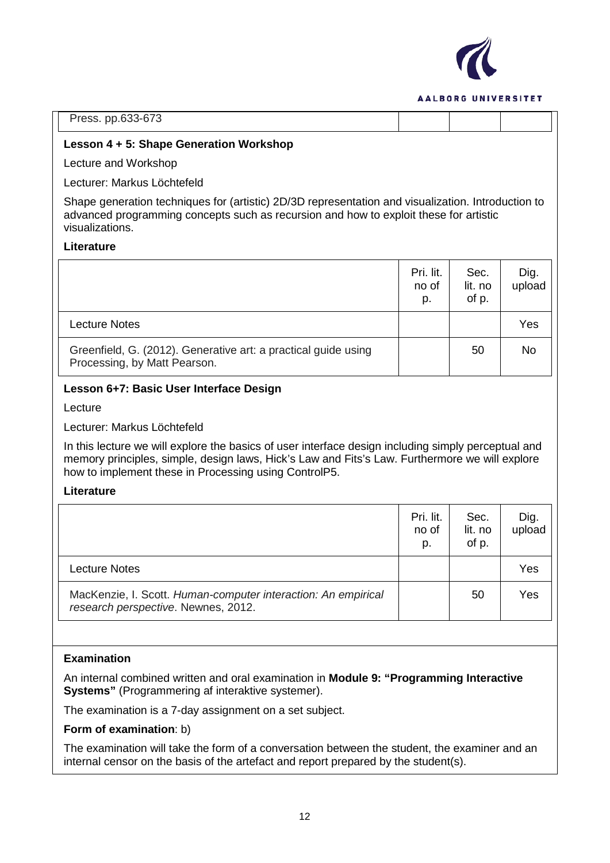

|  | Press. pp.633-673 |  |
|--|-------------------|--|
|--|-------------------|--|

#### **Lesson 4 + 5: Shape Generation Workshop**

Lecture and Workshop

Lecturer: Markus Löchtefeld

Shape generation techniques for (artistic) 2D/3D representation and visualization. Introduction to advanced programming concepts such as recursion and how to exploit these for artistic visualizations.

## **Literature**

|                                                                                                | Pri. lit.<br>no of<br>p. | Sec.<br>lit. no<br>of p. | Dig.<br>upload |
|------------------------------------------------------------------------------------------------|--------------------------|--------------------------|----------------|
| <b>Lecture Notes</b>                                                                           |                          |                          | Yes            |
| Greenfield, G. (2012). Generative art: a practical guide using<br>Processing, by Matt Pearson. |                          | 50                       | No             |

## **Lesson 6+7: Basic User Interface Design**

Lecture

Lecturer: Markus Löchtefeld

In this lecture we will explore the basics of user interface design including simply perceptual and memory principles, simple, design laws, Hick's Law and Fits's Law. Furthermore we will explore how to implement these in Processing using ControlP5.

#### **Literature**

|                                                                                                      | Pri. lit.<br>no of<br>p. | Sec.<br>lit. no<br>of p. | Dig.<br>upload |
|------------------------------------------------------------------------------------------------------|--------------------------|--------------------------|----------------|
| Lecture Notes                                                                                        |                          |                          | Yes            |
| MacKenzie, I. Scott. Human-computer interaction: An empirical<br>research perspective. Newnes, 2012. |                          | 50                       | Yes            |

## **Examination**

An internal combined written and oral examination in **Module 9: "Programming Interactive Systems"** (Programmering af interaktive systemer).

The examination is a 7-day assignment on a set subject.

#### **Form of examination**: b)

The examination will take the form of a conversation between the student, the examiner and an internal censor on the basis of the artefact and report prepared by the student(s).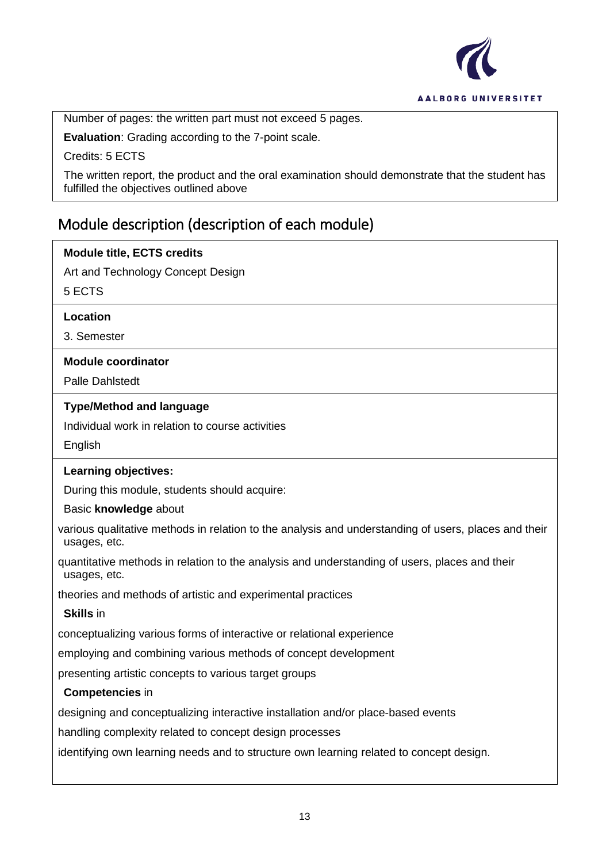

Number of pages: the written part must not exceed 5 pages.

**Evaluation**: Grading according to the 7-point scale.

Credits: 5 ECTS

The written report, the product and the oral examination should demonstrate that the student has fulfilled the objectives outlined above

# Module description (description of each module)

| <b>Module title, ECTS credits</b>                                                                                    |
|----------------------------------------------------------------------------------------------------------------------|
| Art and Technology Concept Design                                                                                    |
| 5 ECTS                                                                                                               |
| Location                                                                                                             |
| 3. Semester                                                                                                          |
| <b>Module coordinator</b>                                                                                            |
| <b>Palle Dahlstedt</b>                                                                                               |
| <b>Type/Method and language</b>                                                                                      |
| Individual work in relation to course activities                                                                     |
| English                                                                                                              |
| Learning objectives:                                                                                                 |
| During this module, students should acquire:                                                                         |
| Basic knowledge about                                                                                                |
| various qualitative methods in relation to the analysis and understanding of users, places and their<br>usages, etc. |
| quantitative methods in relation to the analysis and understanding of users, places and their<br>usages, etc.        |
| theories and methods of artistic and experimental practices                                                          |
| <b>Skills in</b>                                                                                                     |
| conceptualizing various forms of interactive or relational experience                                                |
| employing and combining various methods of concept development                                                       |
| presenting artistic concepts to various target groups                                                                |
| <b>Competencies in</b>                                                                                               |
| designing and conceptualizing interactive installation and/or place-based events                                     |
| handling complexity related to concept design processes                                                              |
| identifying own learning needs and to structure own learning related to concept design.                              |
|                                                                                                                      |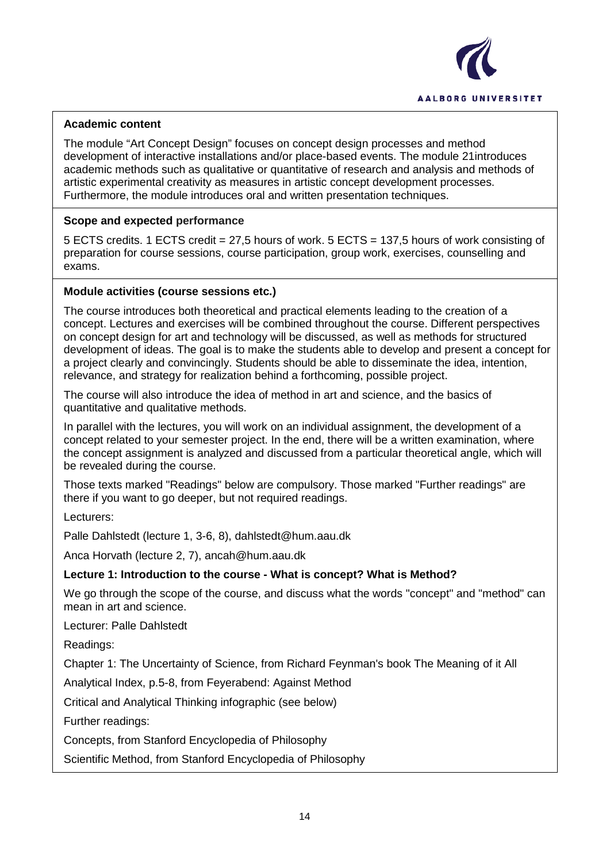

## **Academic content**

The module "Art Concept Design" focuses on concept design processes and method development of interactive installations and/or place-based events. The module 21introduces academic methods such as qualitative or quantitative of research and analysis and methods of artistic experimental creativity as measures in artistic concept development processes. Furthermore, the module introduces oral and written presentation techniques.

## **Scope and expected performance**

5 ECTS credits. 1 ECTS credit = 27,5 hours of work. 5 ECTS = 137,5 hours of work consisting of preparation for course sessions, course participation, group work, exercises, counselling and exams.

## **Module activities (course sessions etc.)**

The course introduces both theoretical and practical elements leading to the creation of a concept. Lectures and exercises will be combined throughout the course. Different perspectives on concept design for art and technology will be discussed, as well as methods for structured development of ideas. The goal is to make the students able to develop and present a concept for a project clearly and convincingly. Students should be able to disseminate the idea, intention, relevance, and strategy for realization behind a forthcoming, possible project.

The course will also introduce the idea of method in art and science, and the basics of quantitative and qualitative methods.

In parallel with the lectures, you will work on an individual assignment, the development of a concept related to your semester project. In the end, there will be a written examination, where the concept assignment is analyzed and discussed from a particular theoretical angle, which will be revealed during the course.

Those texts marked "Readings" below are compulsory. Those marked "Further readings" are there if you want to go deeper, but not required readings.

Lecturers:

Palle Dahlstedt (lecture 1, 3-6, 8), dahlstedt@hum.aau.dk

Anca Horvath (lecture 2, 7), ancah@hum.aau.dk

## **Lecture 1: Introduction to the course - What is concept? What is Method?**

We go through the scope of the course, and discuss what the words "concept" and "method" can mean in art and science.

Lecturer: Palle Dahlstedt

Readings:

Chapter 1: The Uncertainty of Science, from Richard Feynman's book The Meaning of it All

Analytical Index, p.5-8, from Feyerabend: Against Method

Critical and Analytical Thinking infographic (see below)

Further readings:

Concepts, from Stanford Encyclopedia of Philosophy

Scientific Method, from Stanford Encyclopedia of Philosophy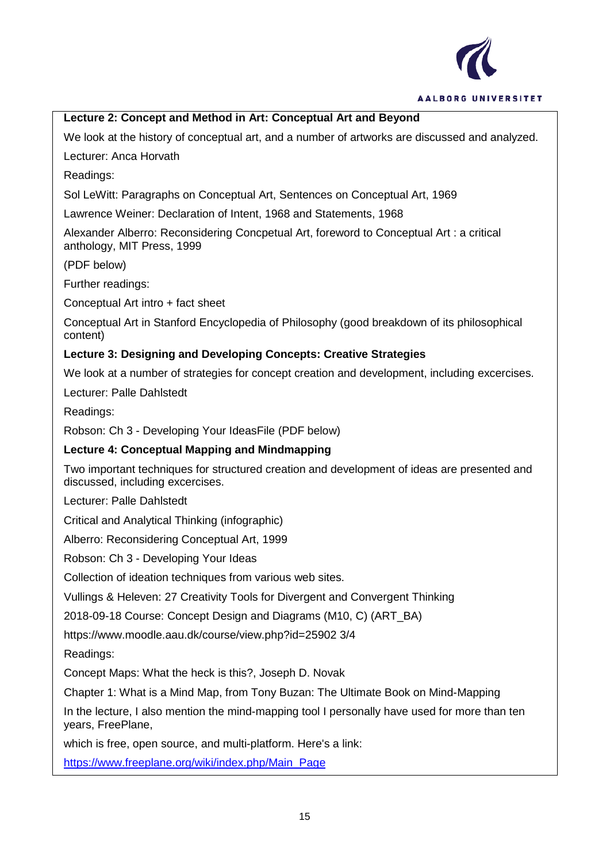

## **Lecture 2: Concept and Method in Art: Conceptual Art and Beyond**

We look at the history of conceptual art, and a number of artworks are discussed and analyzed.

Lecturer: Anca Horvath

Readings:

Sol LeWitt: Paragraphs on Conceptual Art, Sentences on Conceptual Art, 1969

Lawrence Weiner: Declaration of Intent, 1968 and Statements, 1968

Alexander Alberro: Reconsidering Concpetual Art, foreword to Conceptual Art : a critical anthology, MIT Press, 1999

(PDF below)

Further readings:

Conceptual Art intro + fact sheet

Conceptual Art in Stanford Encyclopedia of Philosophy (good breakdown of its philosophical content)

## **Lecture 3: Designing and Developing Concepts: Creative Strategies**

We look at a number of strategies for concept creation and development, including excercises.

Lecturer: Palle Dahlstedt

Readings:

Robson: Ch 3 - Developing Your IdeasFile (PDF below)

## **Lecture 4: Conceptual Mapping and Mindmapping**

Two important techniques for structured creation and development of ideas are presented and discussed, including excercises.

Lecturer: Palle Dahlstedt

Critical and Analytical Thinking (infographic)

Alberro: Reconsidering Conceptual Art, 1999

Robson: Ch 3 - Developing Your Ideas

Collection of ideation techniques from various web sites.

Vullings & Heleven: 27 Creativity Tools for Divergent and Convergent Thinking

2018-09-18 Course: Concept Design and Diagrams (M10, C) (ART\_BA)

https://www.moodle.aau.dk/course/view.php?id=25902 3/4

Readings:

Concept Maps: What the heck is this?, Joseph D. Novak

Chapter 1: What is a Mind Map, from Tony Buzan: The Ultimate Book on Mind-Mapping

In the lecture, I also mention the mind-mapping tool I personally have used for more than ten years, FreePlane,

which is free, open source, and multi-platform. Here's a link:

[https://www.freeplane.org/wiki/index.php/Main\\_Page](https://www.freeplane.org/wiki/index.php/Main_Page)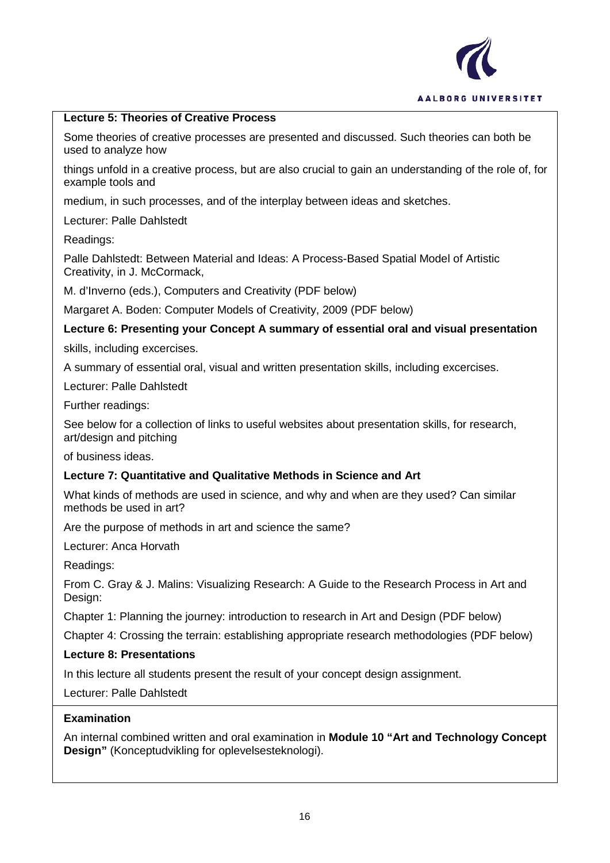

## **Lecture 5: Theories of Creative Process**

Some theories of creative processes are presented and discussed. Such theories can both be used to analyze how

things unfold in a creative process, but are also crucial to gain an understanding of the role of, for example tools and

medium, in such processes, and of the interplay between ideas and sketches.

Lecturer: Palle Dahlstedt

Readings:

Palle Dahlstedt: Between Material and Ideas: A Process-Based Spatial Model of Artistic Creativity, in J. McCormack,

M. d'Inverno (eds.), Computers and Creativity (PDF below)

Margaret A. Boden: Computer Models of Creativity, 2009 (PDF below)

**Lecture 6: Presenting your Concept A summary of essential oral and visual presentation**

skills, including excercises.

A summary of essential oral, visual and written presentation skills, including excercises.

Lecturer: Palle Dahlstedt

Further readings:

See below for a collection of links to useful websites about presentation skills, for research, art/design and pitching

of business ideas.

## **Lecture 7: Quantitative and Qualitative Methods in Science and Art**

What kinds of methods are used in science, and why and when are they used? Can similar methods be used in art?

Are the purpose of methods in art and science the same?

Lecturer: Anca Horvath

Readings:

From C. Gray & J. Malins: Visualizing Research: A Guide to the Research Process in Art and Design:

Chapter 1: Planning the journey: introduction to research in Art and Design (PDF below)

Chapter 4: Crossing the terrain: establishing appropriate research methodologies (PDF below)

## **Lecture 8: Presentations**

In this lecture all students present the result of your concept design assignment.

Lecturer: Palle Dahlstedt

## **Examination**

An internal combined written and oral examination in **Module 10 "Art and Technology Concept Design"** (Konceptudvikling for oplevelsesteknologi).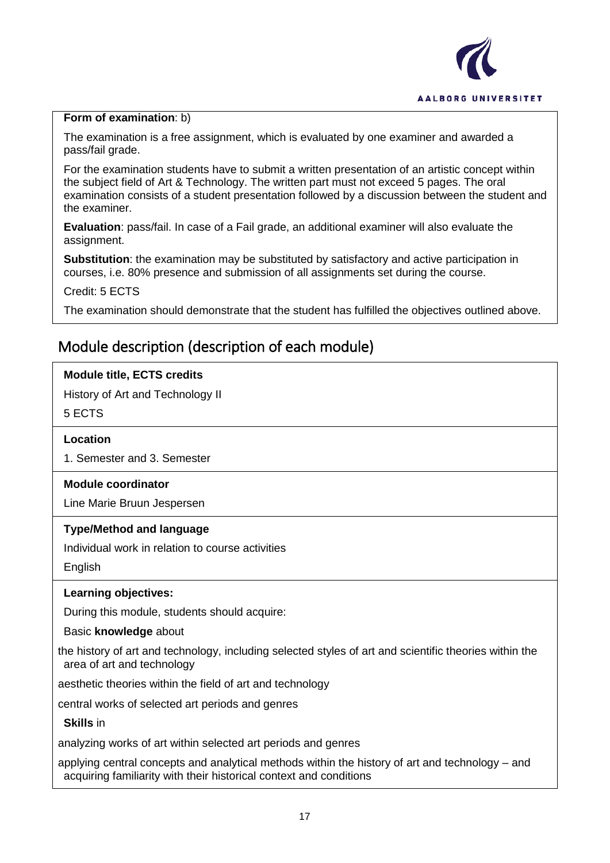

## **Form of examination**: b)

The examination is a free assignment, which is evaluated by one examiner and awarded a pass/fail grade.

For the examination students have to submit a written presentation of an artistic concept within the subject field of Art & Technology. The written part must not exceed 5 pages. The oral examination consists of a student presentation followed by a discussion between the student and the examiner.

**Evaluation**: pass/fail. In case of a Fail grade, an additional examiner will also evaluate the assignment.

**Substitution**: the examination may be substituted by satisfactory and active participation in courses, i.e. 80% presence and submission of all assignments set during the course.

Credit: 5 ECTS

The examination should demonstrate that the student has fulfilled the objectives outlined above.

# Module description (description of each module)

## **Module title, ECTS credits**

History of Art and Technology II

5 ECTS

## **Location**

1. Semester and 3. Semester

## **Module coordinator**

Line Marie Bruun Jespersen

## **Type/Method and language**

Individual work in relation to course activities

**English** 

## **Learning objectives:**

During this module, students should acquire:

Basic **knowledge** about

the history of art and technology, including selected styles of art and scientific theories within the area of art and technology

aesthetic theories within the field of art and technology

central works of selected art periods and genres

**Skills** in

analyzing works of art within selected art periods and genres

applying central concepts and analytical methods within the history of art and technology – and acquiring familiarity with their historical context and conditions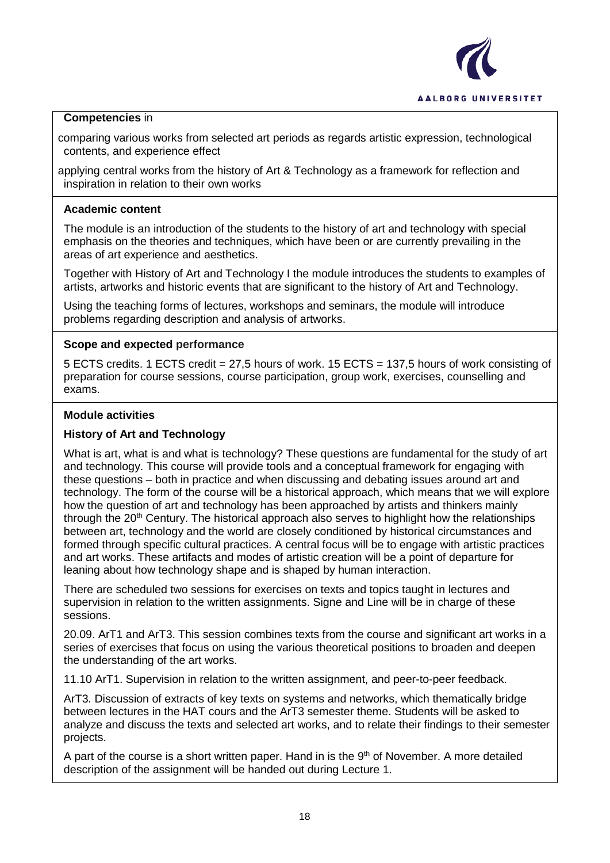

## **Competencies** in

comparing various works from selected art periods as regards artistic expression, technological contents, and experience effect

applying central works from the history of Art & Technology as a framework for reflection and inspiration in relation to their own works

## **Academic content**

The module is an introduction of the students to the history of art and technology with special emphasis on the theories and techniques, which have been or are currently prevailing in the areas of art experience and aesthetics.

Together with History of Art and Technology I the module introduces the students to examples of artists, artworks and historic events that are significant to the history of Art and Technology.

Using the teaching forms of lectures, workshops and seminars, the module will introduce problems regarding description and analysis of artworks.

## **Scope and expected performance**

5 ECTS credits. 1 ECTS credit = 27,5 hours of work. 15 ECTS = 137,5 hours of work consisting of preparation for course sessions, course participation, group work, exercises, counselling and exams.

#### **Module activities**

## **History of Art and Technology**

What is art, what is and what is technology? These questions are fundamental for the study of art and technology. This course will provide tools and a conceptual framework for engaging with these questions – both in practice and when discussing and debating issues around art and technology. The form of the course will be a historical approach, which means that we will explore how the question of art and technology has been approached by artists and thinkers mainly through the  $20<sup>th</sup>$  Century. The historical approach also serves to highlight how the relationships between art, technology and the world are closely conditioned by historical circumstances and formed through specific cultural practices. A central focus will be to engage with artistic practices and art works. These artifacts and modes of artistic creation will be a point of departure for leaning about how technology shape and is shaped by human interaction.

There are scheduled two sessions for exercises on texts and topics taught in lectures and supervision in relation to the written assignments. Signe and Line will be in charge of these sessions.

20.09. ArT1 and ArT3. This session combines texts from the course and significant art works in a series of exercises that focus on using the various theoretical positions to broaden and deepen the understanding of the art works.

11.10 ArT1. Supervision in relation to the written assignment, and peer-to-peer feedback.

ArT3. Discussion of extracts of key texts on systems and networks, which thematically bridge between lectures in the HAT cours and the ArT3 semester theme. Students will be asked to analyze and discuss the texts and selected art works, and to relate their findings to their semester projects.

A part of the course is a short written paper. Hand in is the  $9<sup>th</sup>$  of November. A more detailed description of the assignment will be handed out during Lecture 1.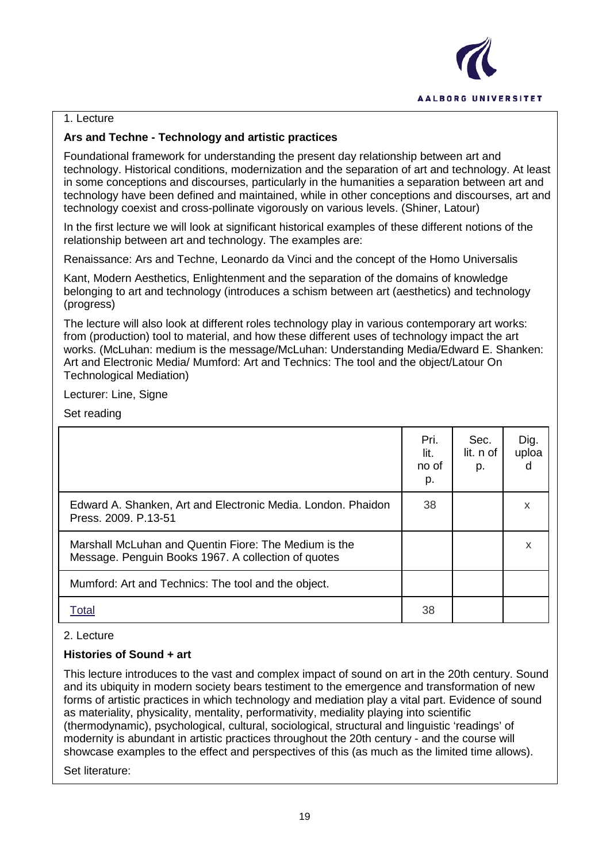

## 1. Lecture

## **Ars and Techne - Technology and artistic practices**

Foundational framework for understanding the present day relationship between art and technology. Historical conditions, modernization and the separation of art and technology. At least in some conceptions and discourses, particularly in the humanities a separation between art and technology have been defined and maintained, while in other conceptions and discourses, art and technology coexist and cross-pollinate vigorously on various levels. (Shiner, Latour)

In the first lecture we will look at significant historical examples of these different notions of the relationship between art and technology. The examples are:

Renaissance: Ars and Techne, Leonardo da Vinci and the concept of the Homo Universalis

Kant, Modern Aesthetics, Enlightenment and the separation of the domains of knowledge belonging to art and technology (introduces a schism between art (aesthetics) and technology (progress)

The lecture will also look at different roles technology play in various contemporary art works: from (production) tool to material, and how these different uses of technology impact the art works. (McLuhan: medium is the message/McLuhan: Understanding Media/Edward E. Shanken: Art and Electronic Media/ Mumford: Art and Technics: The tool and the object/Latour On Technological Mediation)

Lecturer: Line, Signe

Set reading

|                                                                                                              | Pri.<br>lit.<br>no of<br>p. | Sec.<br>lit. n of<br>p. | Dig.<br>uploa<br>d |
|--------------------------------------------------------------------------------------------------------------|-----------------------------|-------------------------|--------------------|
| Edward A. Shanken, Art and Electronic Media. London. Phaidon<br>Press, 2009, P.13-51                         | 38                          |                         | X                  |
| Marshall McLuhan and Quentin Fiore: The Medium is the<br>Message. Penguin Books 1967. A collection of quotes |                             |                         | X                  |
| Mumford: Art and Technics: The tool and the object.                                                          |                             |                         |                    |
| Total                                                                                                        | 38                          |                         |                    |

## 2. Lecture

## **Histories of Sound + art**

This lecture introduces to the vast and complex impact of sound on art in the 20th century. Sound and its ubiquity in modern society bears testiment to the emergence and transformation of new forms of artistic practices in which technology and mediation play a vital part. Evidence of sound as materiality, physicality, mentality, performativity, mediality playing into scientific (thermodynamic), psychological, cultural, sociological, structural and linguistic 'readings' of modernity is abundant in artistic practices throughout the 20th century - and the course will showcase examples to the effect and perspectives of this (as much as the limited time allows).

Set literature: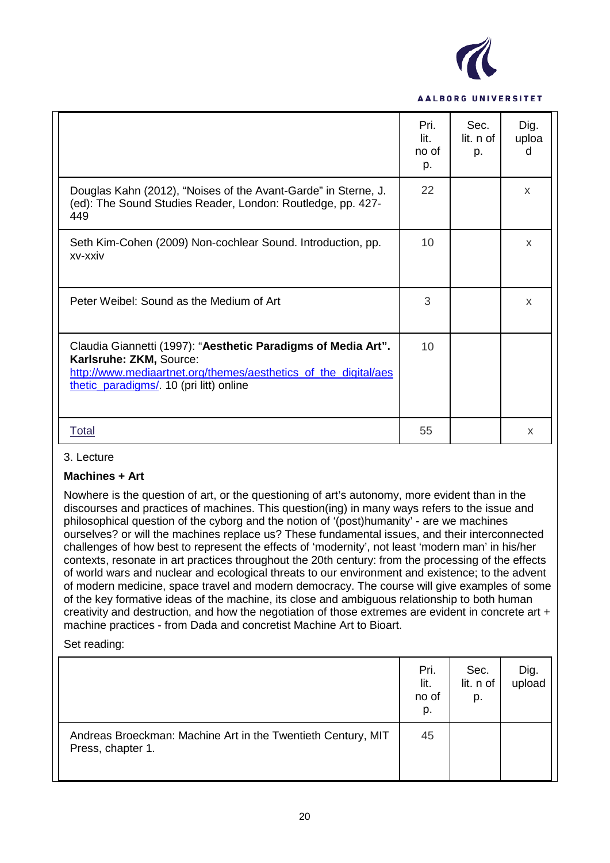

|                                                                                                                                                                                                        | Pri.<br>lit.<br>no of<br>p. | Sec.<br>lit. n of<br>p. | Dig.<br>uploa<br>d |
|--------------------------------------------------------------------------------------------------------------------------------------------------------------------------------------------------------|-----------------------------|-------------------------|--------------------|
| Douglas Kahn (2012), "Noises of the Avant-Garde" in Sterne, J.<br>(ed): The Sound Studies Reader, London: Routledge, pp. 427-<br>449                                                                   | 22                          |                         | X                  |
| Seth Kim-Cohen (2009) Non-cochlear Sound. Introduction, pp.<br>xv-xxiv                                                                                                                                 | 10                          |                         | X                  |
| Peter Weibel: Sound as the Medium of Art                                                                                                                                                               | 3                           |                         | X                  |
| Claudia Giannetti (1997): "Aesthetic Paradigms of Media Art".<br>Karlsruhe: ZKM, Source:<br>http://www.mediaartnet.org/themes/aesthetics of the digital/aes<br>thetic paradigms/. 10 (pri litt) online | 10                          |                         |                    |
| Total                                                                                                                                                                                                  | 55                          |                         | X                  |

#### 3. Lecture

#### **Machines + Art**

Nowhere is the question of art, or the questioning of art's autonomy, more evident than in the discourses and practices of machines. This question(ing) in many ways refers to the issue and philosophical question of the cyborg and the notion of '(post)humanity' - are we machines ourselves? or will the machines replace us? These fundamental issues, and their interconnected challenges of how best to represent the effects of 'modernity', not least 'modern man' in his/her contexts, resonate in art practices throughout the 20th century: from the processing of the effects of world wars and nuclear and ecological threats to our environment and existence; to the advent of modern medicine, space travel and modern democracy. The course will give examples of some of the key formative ideas of the machine, its close and ambiguous relationship to both human creativity and destruction, and how the negotiation of those extremes are evident in concrete art + machine practices - from Dada and concretist Machine Art to Bioart.

Set reading:

|                                                                                   | Pri.<br>lit.<br>no of<br>p. | Sec.<br>lit. n of<br>p. | Dig.<br>upload |
|-----------------------------------------------------------------------------------|-----------------------------|-------------------------|----------------|
| Andreas Broeckman: Machine Art in the Twentieth Century, MIT<br>Press, chapter 1. | 45                          |                         |                |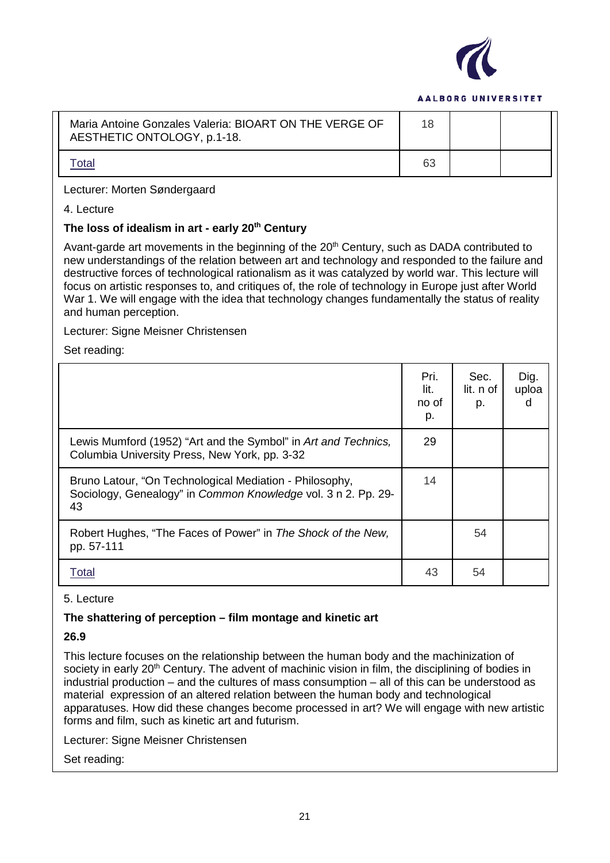

| Maria Antoine Gonzales Valeria: BIOART ON THE VERGE OF<br>AESTHETIC ONTOLOGY, p.1-18. | 18 |  |
|---------------------------------------------------------------------------------------|----|--|
| otal                                                                                  | 63 |  |

#### Lecturer: Morten Søndergaard

4. Lecture

## **The loss of idealism in art - early 20th Century**

Avant-garde art movements in the beginning of the  $20<sup>th</sup>$  Century, such as DADA contributed to new understandings of the relation between art and technology and responded to the failure and destructive forces of technological rationalism as it was catalyzed by world war. This lecture will focus on artistic responses to, and critiques of, the role of technology in Europe just after World War 1. We will engage with the idea that technology changes fundamentally the status of reality and human perception.

Lecturer: Signe Meisner Christensen

Set reading:

|                                                                                                                                | Pri.<br>lit.<br>no of<br>p. | Sec.<br>lit. n of<br>p. | Dig.<br>uploa<br>d |
|--------------------------------------------------------------------------------------------------------------------------------|-----------------------------|-------------------------|--------------------|
| Lewis Mumford (1952) "Art and the Symbol" in Art and Technics,<br>Columbia University Press, New York, pp. 3-32                | 29                          |                         |                    |
| Bruno Latour, "On Technological Mediation - Philosophy,<br>Sociology, Genealogy" in Common Knowledge vol. 3 n 2. Pp. 29-<br>43 | 14                          |                         |                    |
| Robert Hughes, "The Faces of Power" in The Shock of the New,<br>pp. 57-111                                                     |                             | 54                      |                    |
| Total                                                                                                                          | 43                          | 54                      |                    |

#### 5. Lecture

## **The shattering of perception – film montage and kinetic art**

#### **26.9**

This lecture focuses on the relationship between the human body and the machinization of society in early 20<sup>th</sup> Century. The advent of machinic vision in film, the disciplining of bodies in industrial production – and the cultures of mass consumption – all of this can be understood as material expression of an altered relation between the human body and technological apparatuses. How did these changes become processed in art? We will engage with new artistic forms and film, such as kinetic art and futurism.

Lecturer: Signe Meisner Christensen

Set reading: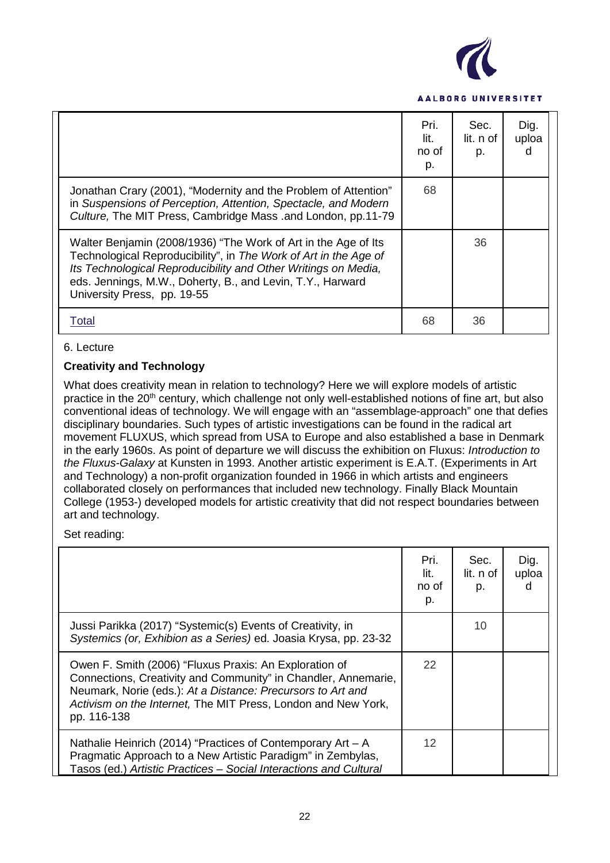

|                                                                                                                                                                                                                                                                                                   | Pri.<br>lit.<br>no of<br>p. | Sec.<br>lit. n of<br>p. | Dig.<br>uploa<br>d |
|---------------------------------------------------------------------------------------------------------------------------------------------------------------------------------------------------------------------------------------------------------------------------------------------------|-----------------------------|-------------------------|--------------------|
| Jonathan Crary (2001), "Modernity and the Problem of Attention"<br>in Suspensions of Perception, Attention, Spectacle, and Modern<br>Culture, The MIT Press, Cambridge Mass .and London, pp.11-79                                                                                                 | 68                          |                         |                    |
| Walter Benjamin (2008/1936) "The Work of Art in the Age of Its<br>Technological Reproducibility", in The Work of Art in the Age of<br>Its Technological Reproducibility and Other Writings on Media,<br>eds. Jennings, M.W., Doherty, B., and Levin, T.Y., Harward<br>University Press, pp. 19-55 |                             | 36                      |                    |
| Total                                                                                                                                                                                                                                                                                             | 68                          | 36                      |                    |

#### 6. Lecture

## **Creativity and Technology**

What does creativity mean in relation to technology? Here we will explore models of artistic practice in the 20<sup>th</sup> century, which challenge not only well-established notions of fine art, but also conventional ideas of technology. We will engage with an "assemblage-approach" one that defies disciplinary boundaries. Such types of artistic investigations can be found in the radical art movement FLUXUS, which spread from USA to Europe and also established a base in Denmark in the early 1960s. As point of departure we will discuss the exhibition on Fluxus: *Introduction to the Fluxus-Galaxy* at Kunsten in 1993. Another artistic experiment is E.A.T. (Experiments in Art and Technology) a non-profit organization founded in 1966 in which artists and engineers collaborated closely on performances that included new technology. Finally Black Mountain College (1953-) developed models for artistic creativity that did not respect boundaries between art and technology.

Set reading:

|                                                                                                                                                                                                                                                                         | Pri.<br>lit.<br>no of<br>p. | Sec.<br>lit. n of<br>p. | Dig.<br>uploa<br>d |
|-------------------------------------------------------------------------------------------------------------------------------------------------------------------------------------------------------------------------------------------------------------------------|-----------------------------|-------------------------|--------------------|
| Jussi Parikka (2017) "Systemic(s) Events of Creativity, in<br>Systemics (or, Exhibion as a Series) ed. Joasia Krysa, pp. 23-32                                                                                                                                          |                             | 10                      |                    |
| Owen F. Smith (2006) "Fluxus Praxis: An Exploration of<br>Connections, Creativity and Community" in Chandler, Annemarie,<br>Neumark, Norie (eds.): At a Distance: Precursors to Art and<br>Activism on the Internet, The MIT Press, London and New York,<br>pp. 116-138 | 22                          |                         |                    |
| Nathalie Heinrich (2014) "Practices of Contemporary $Art - A$<br>Pragmatic Approach to a New Artistic Paradigm" in Zembylas,<br>Tasos (ed.) Artistic Practices - Social Interactions and Cultural                                                                       | 12                          |                         |                    |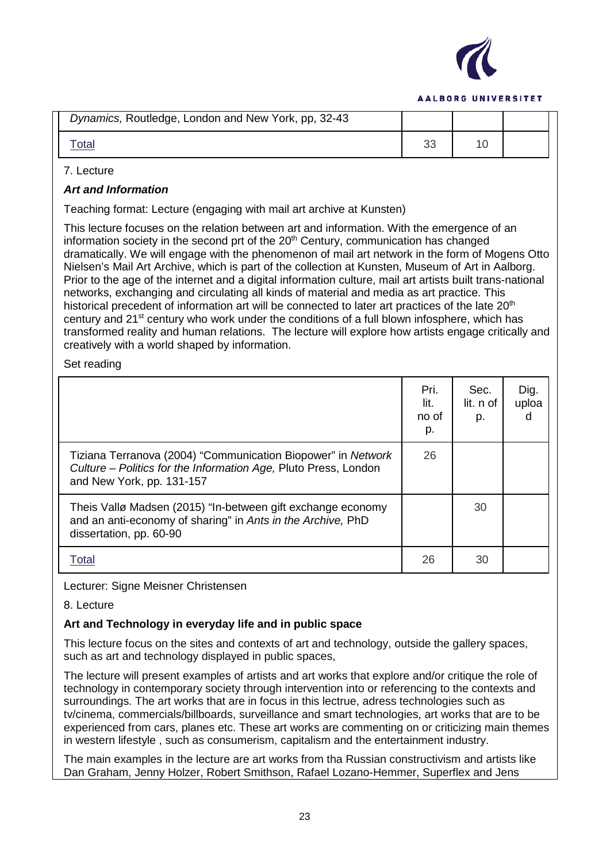

| Dynamics, Routledge, London and New York, pp, 32-43 |  |  |
|-----------------------------------------------------|--|--|
| <u> Total</u>                                       |  |  |

## 7. Lecture

## *Art and Information*

Teaching format: Lecture (engaging with mail art archive at Kunsten)

This lecture focuses on the relation between art and information. With the emergence of an information society in the second prt of the  $20<sup>th</sup>$  Century, communication has changed dramatically. We will engage with the phenomenon of mail art network in the form of Mogens Otto Nielsen's Mail Art Archive, which is part of the collection at Kunsten, Museum of Art in Aalborg. Prior to the age of the internet and a digital information culture, mail art artists built trans-national networks, exchanging and circulating all kinds of material and media as art practice. This historical precedent of information art will be connected to later art practices of the late 20<sup>th</sup> century and 21<sup>st</sup> century who work under the conditions of a full blown infosphere, which has transformed reality and human relations. The lecture will explore how artists engage critically and creatively with a world shaped by information.

Set reading

|                                                                                                                                                              | Pri.<br>lit.<br>no of<br>p. | Sec.<br>lit. n of<br>p. | Dig.<br>uploa<br>d |
|--------------------------------------------------------------------------------------------------------------------------------------------------------------|-----------------------------|-------------------------|--------------------|
| Tiziana Terranova (2004) "Communication Biopower" in Network<br>Culture – Politics for the Information Age, Pluto Press, London<br>and New York, pp. 131-157 | 26                          |                         |                    |
| Theis Vallø Madsen (2015) "In-between gift exchange economy<br>and an anti-economy of sharing" in Ants in the Archive, PhD<br>dissertation, pp. 60-90        |                             | 30                      |                    |
| Total                                                                                                                                                        | 26                          | 30                      |                    |

Lecturer: Signe Meisner Christensen

## 8. Lecture

## **Art and Technology in everyday life and in public space**

This lecture focus on the sites and contexts of art and technology, outside the gallery spaces, such as art and technology displayed in public spaces,

The lecture will present examples of artists and art works that explore and/or critique the role of technology in contemporary society through intervention into or referencing to the contexts and surroundings. The art works that are in focus in this lectrue, adress technologies such as tv/cinema, commercials/billboards, surveillance and smart technologies, art works that are to be experienced from cars, planes etc. These art works are commenting on or criticizing main themes in western lifestyle , such as consumerism, capitalism and the entertainment industry.

The main examples in the lecture are art works from tha Russian constructivism and artists like Dan Graham, Jenny Holzer, Robert Smithson, Rafael Lozano-Hemmer, Superflex and Jens